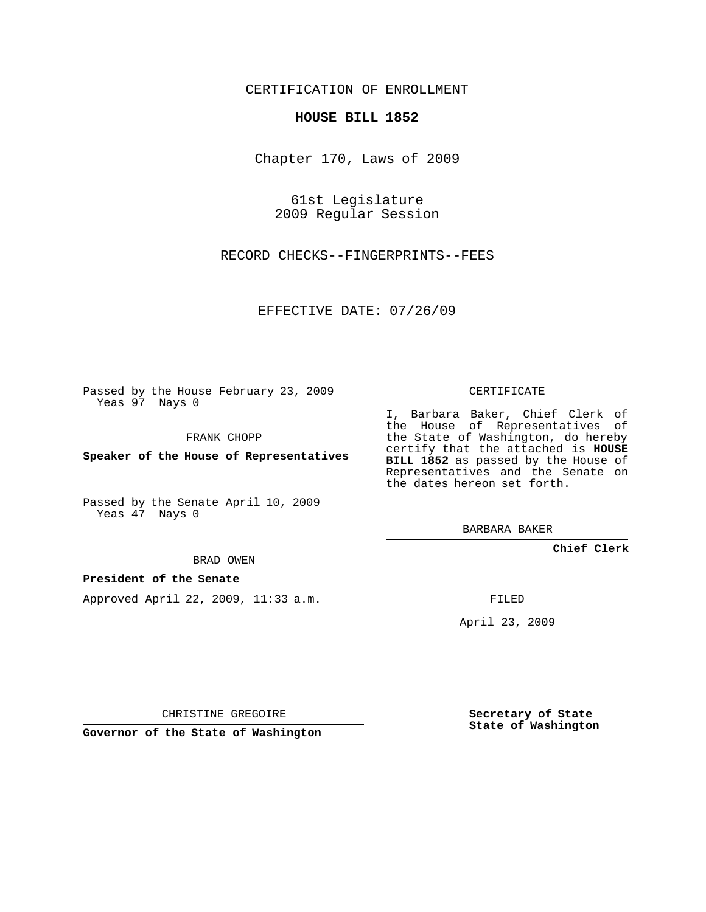### CERTIFICATION OF ENROLLMENT

#### **HOUSE BILL 1852**

Chapter 170, Laws of 2009

61st Legislature 2009 Regular Session

RECORD CHECKS--FINGERPRINTS--FEES

EFFECTIVE DATE: 07/26/09

Passed by the House February 23, 2009 Yeas 97 Nays 0

FRANK CHOPP

**Speaker of the House of Representatives**

Passed by the Senate April 10, 2009 Yeas 47 Nays 0

BRAD OWEN

#### **President of the Senate**

Approved April 22, 2009, 11:33 a.m.

CERTIFICATE

I, Barbara Baker, Chief Clerk of the House of Representatives of the State of Washington, do hereby certify that the attached is **HOUSE BILL 1852** as passed by the House of Representatives and the Senate on the dates hereon set forth.

BARBARA BAKER

**Chief Clerk**

FILED

April 23, 2009

CHRISTINE GREGOIRE

**Governor of the State of Washington**

**Secretary of State State of Washington**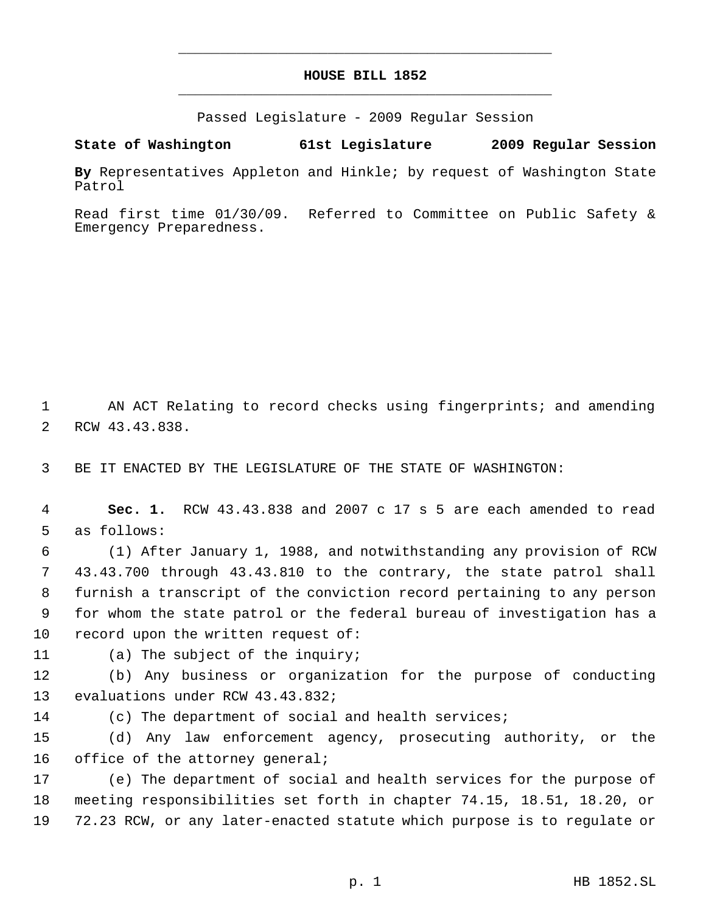## **HOUSE BILL 1852** \_\_\_\_\_\_\_\_\_\_\_\_\_\_\_\_\_\_\_\_\_\_\_\_\_\_\_\_\_\_\_\_\_\_\_\_\_\_\_\_\_\_\_\_\_

\_\_\_\_\_\_\_\_\_\_\_\_\_\_\_\_\_\_\_\_\_\_\_\_\_\_\_\_\_\_\_\_\_\_\_\_\_\_\_\_\_\_\_\_\_

Passed Legislature - 2009 Regular Session

**State of Washington 61st Legislature 2009 Regular Session**

**By** Representatives Appleton and Hinkle; by request of Washington State Patrol

Read first time 01/30/09. Referred to Committee on Public Safety & Emergency Preparedness.

 AN ACT Relating to record checks using fingerprints; and amending RCW 43.43.838.

BE IT ENACTED BY THE LEGISLATURE OF THE STATE OF WASHINGTON:

 **Sec. 1.** RCW 43.43.838 and 2007 c 17 s 5 are each amended to read as follows:

 (1) After January 1, 1988, and notwithstanding any provision of RCW 43.43.700 through 43.43.810 to the contrary, the state patrol shall furnish a transcript of the conviction record pertaining to any person for whom the state patrol or the federal bureau of investigation has a record upon the written request of:

(a) The subject of the inquiry;

 (b) Any business or organization for the purpose of conducting evaluations under RCW 43.43.832;

(c) The department of social and health services;

 (d) Any law enforcement agency, prosecuting authority, or the 16 office of the attorney general;

 (e) The department of social and health services for the purpose of meeting responsibilities set forth in chapter 74.15, 18.51, 18.20, or 72.23 RCW, or any later-enacted statute which purpose is to regulate or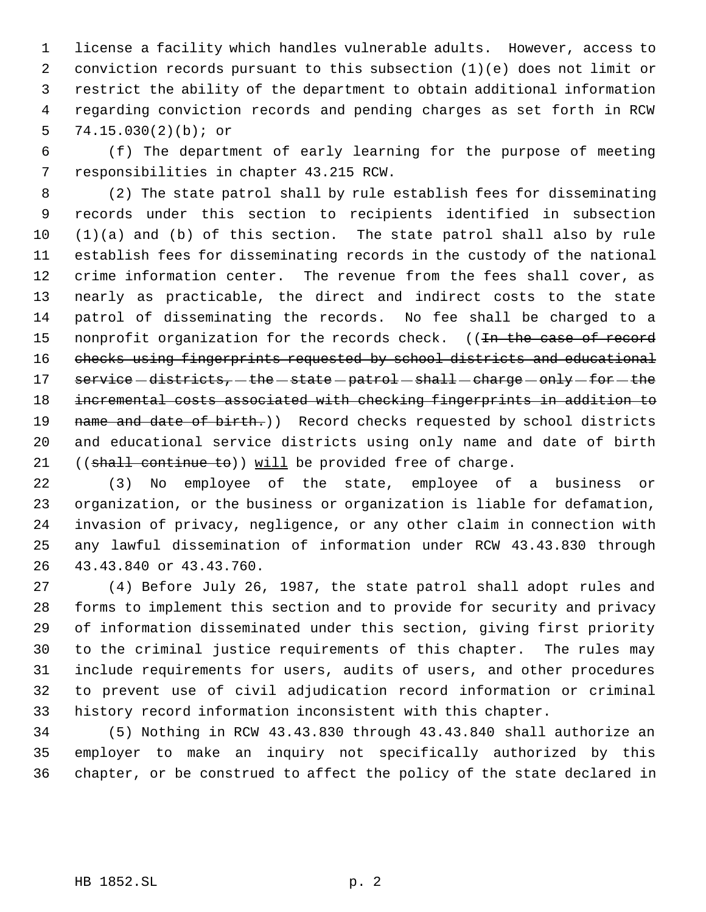license a facility which handles vulnerable adults. However, access to conviction records pursuant to this subsection (1)(e) does not limit or restrict the ability of the department to obtain additional information regarding conviction records and pending charges as set forth in RCW 74.15.030(2)(b); or

 (f) The department of early learning for the purpose of meeting responsibilities in chapter 43.215 RCW.

 (2) The state patrol shall by rule establish fees for disseminating records under this section to recipients identified in subsection (1)(a) and (b) of this section. The state patrol shall also by rule establish fees for disseminating records in the custody of the national crime information center. The revenue from the fees shall cover, as nearly as practicable, the direct and indirect costs to the state patrol of disseminating the records. No fee shall be charged to a 15 nonprofit organization for the records check. ((In the case of record checks using fingerprints requested by school districts and educational 17 service -districts, -the -state -patrol -shall -charge -only -for -the incremental costs associated with checking fingerprints in addition to 19 name and date of birth.)) Record checks requested by school districts and educational service districts using only name and date of birth 21 ((shall continue to)) will be provided free of charge.

 (3) No employee of the state, employee of a business or organization, or the business or organization is liable for defamation, invasion of privacy, negligence, or any other claim in connection with any lawful dissemination of information under RCW 43.43.830 through 43.43.840 or 43.43.760.

 (4) Before July 26, 1987, the state patrol shall adopt rules and forms to implement this section and to provide for security and privacy of information disseminated under this section, giving first priority to the criminal justice requirements of this chapter. The rules may include requirements for users, audits of users, and other procedures to prevent use of civil adjudication record information or criminal history record information inconsistent with this chapter.

 (5) Nothing in RCW 43.43.830 through 43.43.840 shall authorize an employer to make an inquiry not specifically authorized by this chapter, or be construed to affect the policy of the state declared in